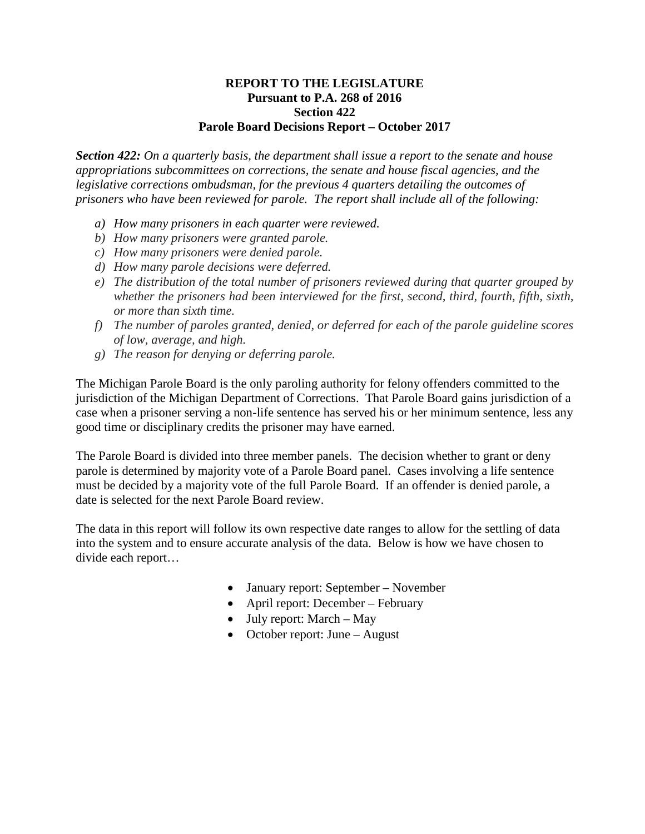## **REPORT TO THE LEGISLATURE Pursuant to P.A. 268 of 2016 Section 422 Parole Board Decisions Report – October 2017**

*Section 422: On a quarterly basis, the department shall issue a report to the senate and house appropriations subcommittees on corrections, the senate and house fiscal agencies, and the legislative corrections ombudsman, for the previous 4 quarters detailing the outcomes of prisoners who have been reviewed for parole. The report shall include all of the following:* 

- *a) How many prisoners in each quarter were reviewed.*
- *b) How many prisoners were granted parole.*
- *c) How many prisoners were denied parole.*
- *d) How many parole decisions were deferred.*
- *e) The distribution of the total number of prisoners reviewed during that quarter grouped by whether the prisoners had been interviewed for the first, second, third, fourth, fifth, sixth, or more than sixth time.*
- *f) The number of paroles granted, denied, or deferred for each of the parole guideline scores of low, average, and high.*
- *g) The reason for denying or deferring parole.*

The Michigan Parole Board is the only paroling authority for felony offenders committed to the jurisdiction of the Michigan Department of Corrections. That Parole Board gains jurisdiction of a case when a prisoner serving a non-life sentence has served his or her minimum sentence, less any good time or disciplinary credits the prisoner may have earned.

The Parole Board is divided into three member panels. The decision whether to grant or deny parole is determined by majority vote of a Parole Board panel. Cases involving a life sentence must be decided by a majority vote of the full Parole Board. If an offender is denied parole, a date is selected for the next Parole Board review.

The data in this report will follow its own respective date ranges to allow for the settling of data into the system and to ensure accurate analysis of the data. Below is how we have chosen to divide each report…

- January report: September November
- April report: December February
- July report: March May
- October report: June August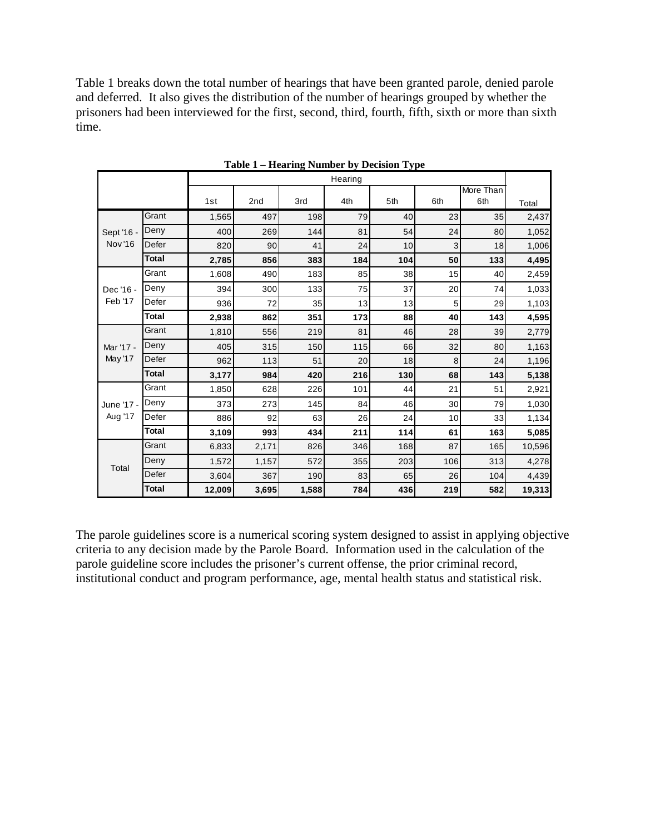Table 1 breaks down the total number of hearings that have been granted parole, denied parole and deferred. It also gives the distribution of the number of hearings grouped by whether the prisoners had been interviewed for the first, second, third, fourth, fifth, sixth or more than sixth time.

|                       |              |        |         |       |     | Table 1 – Hearing Number by Decision Type |     |                  |        |
|-----------------------|--------------|--------|---------|-------|-----|-------------------------------------------|-----|------------------|--------|
|                       |              |        | Hearing |       |     |                                           |     |                  |        |
|                       |              | 1st    | 2nd     | 3rd   | 4th | 5th                                       | 6th | More Than<br>6th | Total  |
| Sept '16 -<br>Nov '16 | Grant        | 1,565  | 497     | 198   | 79  | 40                                        | 23  | 35               | 2,437  |
|                       | Deny         | 400    | 269     | 144   | 81  | 54                                        | 24  | 80               | 1,052  |
|                       | Defer        | 820    | 90      | 41    | 24  | 10                                        | 3   | 18               | 1,006  |
|                       | <b>Total</b> | 2,785  | 856     | 383   | 184 | 104                                       | 50  | 133              | 4,495  |
| Dec '16 -<br>Feb '17  | Grant        | 1,608  | 490     | 183   | 85  | 38                                        | 15  | 40               | 2,459  |
|                       | Deny         | 394    | 300     | 133   | 75  | 37                                        | 20  | 74               | 1,033  |
|                       | Defer        | 936    | 72      | 35    | 13  | 13                                        | 5   | 29               | 1,103  |
|                       | Total        | 2,938  | 862     | 351   | 173 | 88                                        | 40  | 143              | 4,595  |
|                       | Grant        | 1,810  | 556     | 219   | 81  | 46                                        | 28  | 39               | 2,779  |
| Mar '17 -<br>May '17  | Deny         | 405    | 315     | 150   | 115 | 66                                        | 32  | 80               | 1,163  |
|                       | Defer        | 962    | 113     | 51    | 20  | 18                                        | 8   | 24               | 1,196  |
|                       | <b>Total</b> | 3,177  | 984     | 420   | 216 | 130                                       | 68  | 143              | 5,138  |
|                       | Grant        | 1,850  | 628     | 226   | 101 | 44                                        | 21  | 51               | 2,921  |
| June '17 -<br>Aug '17 | Deny         | 373    | 273     | 145   | 84  | 46                                        | 30  | 79               | 1,030  |
|                       | Defer        | 886    | 92      | 63    | 26  | 24                                        | 10  | 33               | 1,134  |
|                       | <b>Total</b> | 3,109  | 993     | 434   | 211 | 114                                       | 61  | 163              | 5,085  |
| Total                 | Grant        | 6,833  | 2,171   | 826   | 346 | 168                                       | 87  | 165              | 10,596 |
|                       | Deny         | 1,572  | 1,157   | 572   | 355 | 203                                       | 106 | 313              | 4,278  |
|                       | Defer        | 3,604  | 367     | 190   | 83  | 65                                        | 26  | 104              | 4,439  |
|                       | <b>Total</b> | 12,009 | 3,695   | 1,588 | 784 | 436                                       | 219 | 582              | 19,313 |

**Table 1 – Hearing Number by Decision Type**

The parole guidelines score is a numerical scoring system designed to assist in applying objective criteria to any decision made by the Parole Board. Information used in the calculation of the parole guideline score includes the prisoner's current offense, the prior criminal record, institutional conduct and program performance, age, mental health status and statistical risk.